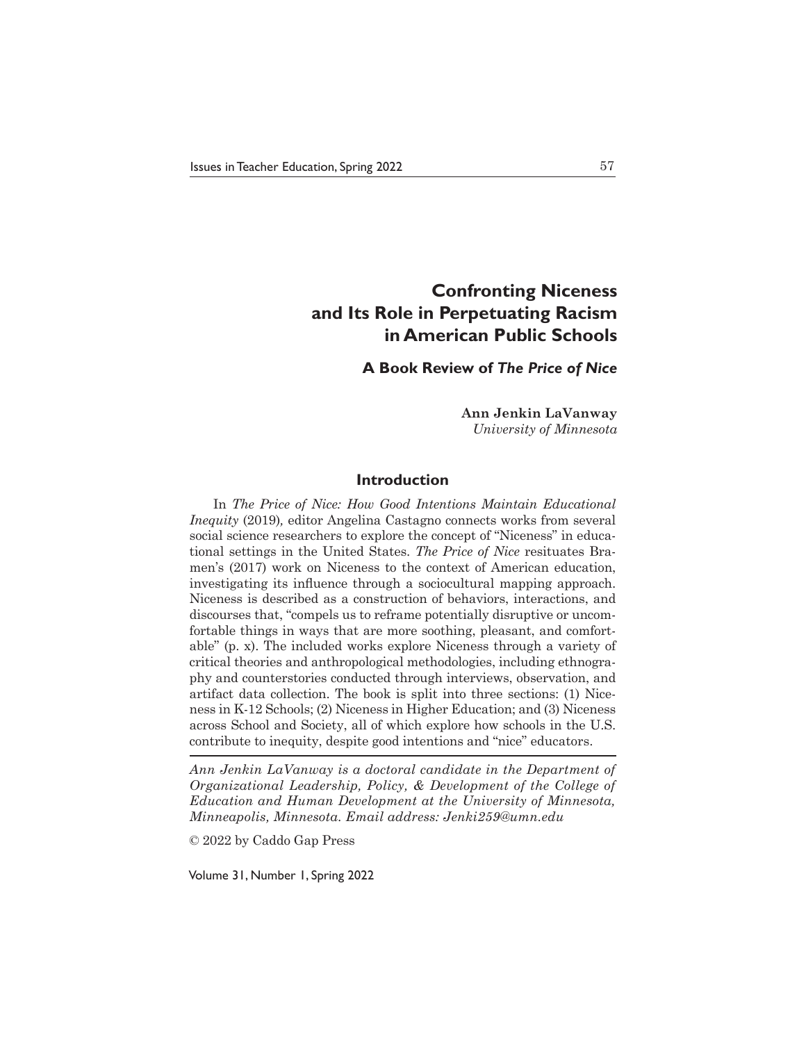# **Confronting Niceness and Its Role in Perpetuating Racism in American Public Schools**

# **A Book Review of** *The Price of Nice*

**Ann Jenkin LaVanway** *University of Minnesota*

## **Introduction**

In *The Price of Nice: How Good Intentions Maintain Educational Inequity* (2019)*,* editor Angelina Castagno connects works from several social science researchers to explore the concept of "Niceness" in educational settings in the United States. *The Price of Nice* resituates Bramen's (2017) work on Niceness to the context of American education, investigating its influence through a sociocultural mapping approach. Niceness is described as a construction of behaviors, interactions, and discourses that, "compels us to reframe potentially disruptive or uncomfortable things in ways that are more soothing, pleasant, and comfortable" (p. x). The included works explore Niceness through a variety of critical theories and anthropological methodologies, including ethnography and counterstories conducted through interviews, observation, and artifact data collection. The book is split into three sections: (1) Niceness in K-12 Schools; (2) Niceness in Higher Education; and (3) Niceness across School and Society, all of which explore how schools in the U.S. contribute to inequity, despite good intentions and "nice" educators.

*Ann Jenkin LaVanway is a doctoral candidate in the Department of Organizational Leadership, Policy, & Development of the College of Education and Human Development at the University of Minnesota, Minneapolis, Minnesota. Email address: Jenki259@umn.edu*

© 2022 by Caddo Gap Press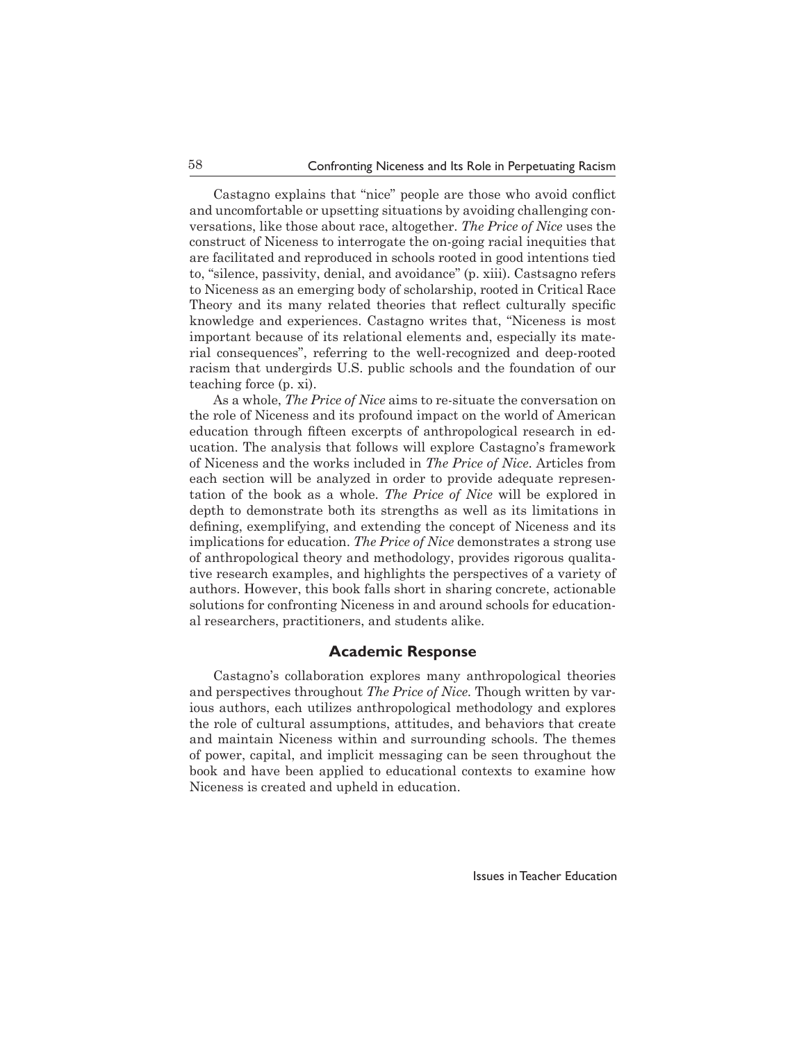Castagno explains that "nice" people are those who avoid conflict and uncomfortable or upsetting situations by avoiding challenging conversations, like those about race, altogether. *The Price of Nice* uses the construct of Niceness to interrogate the on-going racial inequities that are facilitated and reproduced in schools rooted in good intentions tied to, "silence, passivity, denial, and avoidance" (p. xiii). Castsagno refers to Niceness as an emerging body of scholarship, rooted in Critical Race Theory and its many related theories that reflect culturally specific knowledge and experiences. Castagno writes that, "Niceness is most important because of its relational elements and, especially its material consequences", referring to the well-recognized and deep-rooted racism that undergirds U.S. public schools and the foundation of our teaching force (p. xi).

As a whole, *The Price of Nice* aims to re-situate the conversation on the role of Niceness and its profound impact on the world of American education through fifteen excerpts of anthropological research in education. The analysis that follows will explore Castagno's framework of Niceness and the works included in *The Price of Nice*. Articles from each section will be analyzed in order to provide adequate representation of the book as a whole. *The Price of Nice* will be explored in depth to demonstrate both its strengths as well as its limitations in defining, exemplifying, and extending the concept of Niceness and its implications for education. *The Price of Nice* demonstrates a strong use of anthropological theory and methodology, provides rigorous qualitative research examples, and highlights the perspectives of a variety of authors. However, this book falls short in sharing concrete, actionable solutions for confronting Niceness in and around schools for educational researchers, practitioners, and students alike.

#### **Academic Response**

Castagno's collaboration explores many anthropological theories and perspectives throughout *The Price of Nice.* Though written by various authors, each utilizes anthropological methodology and explores the role of cultural assumptions, attitudes, and behaviors that create and maintain Niceness within and surrounding schools. The themes of power, capital, and implicit messaging can be seen throughout the book and have been applied to educational contexts to examine how Niceness is created and upheld in education.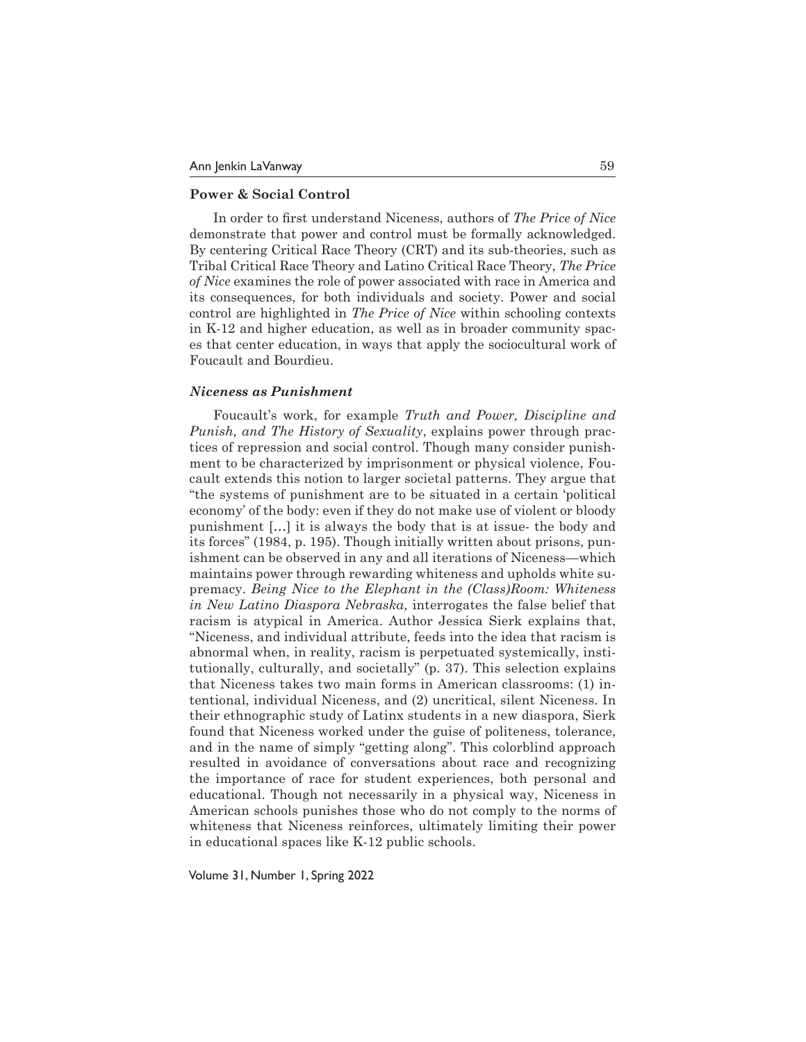## **Power & Social Control**

In order to first understand Niceness, authors of *The Price of Nice*  demonstrate that power and control must be formally acknowledged. By centering Critical Race Theory (CRT) and its sub-theories, such as Tribal Critical Race Theory and Latino Critical Race Theory, *The Price of Nice* examines the role of power associated with race in America and its consequences, for both individuals and society. Power and social control are highlighted in *The Price of Nice* within schooling contexts in K-12 and higher education, as well as in broader community spaces that center education, in ways that apply the sociocultural work of Foucault and Bourdieu.

#### *Niceness as Punishment*

Foucault's work, for example *Truth and Power, Discipline and Punish, and The History of Sexuality*, explains power through practices of repression and social control. Though many consider punishment to be characterized by imprisonment or physical violence, Foucault extends this notion to larger societal patterns. They argue that "the systems of punishment are to be situated in a certain 'political economy' of the body: even if they do not make use of violent or bloody punishment […] it is always the body that is at issue- the body and its forces" (1984, p. 195). Though initially written about prisons, punishment can be observed in any and all iterations of Niceness—which maintains power through rewarding whiteness and upholds white supremacy. *Being Nice to the Elephant in the (Class)Room: Whiteness in New Latino Diaspora Nebraska,* interrogates the false belief that racism is atypical in America. Author Jessica Sierk explains that, "Niceness, and individual attribute, feeds into the idea that racism is abnormal when, in reality, racism is perpetuated systemically, institutionally, culturally, and societally" (p. 37). This selection explains that Niceness takes two main forms in American classrooms: (1) intentional, individual Niceness, and (2) uncritical, silent Niceness. In their ethnographic study of Latinx students in a new diaspora, Sierk found that Niceness worked under the guise of politeness, tolerance, and in the name of simply "getting along". This colorblind approach resulted in avoidance of conversations about race and recognizing the importance of race for student experiences, both personal and educational. Though not necessarily in a physical way, Niceness in American schools punishes those who do not comply to the norms of whiteness that Niceness reinforces, ultimately limiting their power in educational spaces like K-12 public schools.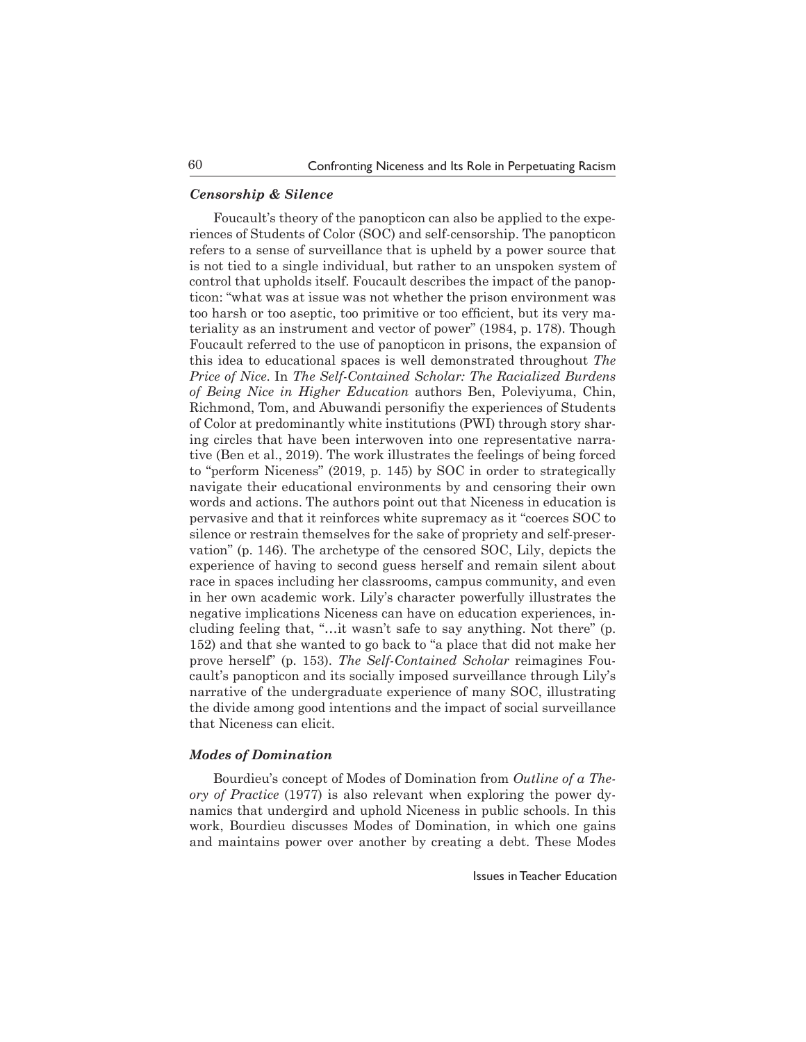## *Censorship & Silence*

Foucault's theory of the panopticon can also be applied to the experiences of Students of Color (SOC) and self-censorship. The panopticon refers to a sense of surveillance that is upheld by a power source that is not tied to a single individual, but rather to an unspoken system of control that upholds itself. Foucault describes the impact of the panopticon: "what was at issue was not whether the prison environment was too harsh or too aseptic, too primitive or too efficient, but its very materiality as an instrument and vector of power" (1984, p. 178). Though Foucault referred to the use of panopticon in prisons, the expansion of this idea to educational spaces is well demonstrated throughout *The Price of Nice*. In *The Self-Contained Scholar: The Racialized Burdens of Being Nice in Higher Education* authors Ben, Poleviyuma, Chin, Richmond, Tom, and Abuwandi personifiy the experiences of Students of Color at predominantly white institutions (PWI) through story sharing circles that have been interwoven into one representative narrative (Ben et al., 2019). The work illustrates the feelings of being forced to "perform Niceness" (2019, p. 145) by SOC in order to strategically navigate their educational environments by and censoring their own words and actions. The authors point out that Niceness in education is pervasive and that it reinforces white supremacy as it "coerces SOC to silence or restrain themselves for the sake of propriety and self-preservation" (p. 146). The archetype of the censored SOC, Lily, depicts the experience of having to second guess herself and remain silent about race in spaces including her classrooms, campus community, and even in her own academic work. Lily's character powerfully illustrates the negative implications Niceness can have on education experiences, including feeling that, "…it wasn't safe to say anything. Not there" (p. 152) and that she wanted to go back to "a place that did not make her prove herself" (p. 153). *The Self-Contained Scholar* reimagines Foucault's panopticon and its socially imposed surveillance through Lily's narrative of the undergraduate experience of many SOC, illustrating the divide among good intentions and the impact of social surveillance that Niceness can elicit.

#### *Modes of Domination*

Bourdieu's concept of Modes of Domination from *Outline of a Theory of Practice* (1977) is also relevant when exploring the power dynamics that undergird and uphold Niceness in public schools. In this work, Bourdieu discusses Modes of Domination, in which one gains and maintains power over another by creating a debt. These Modes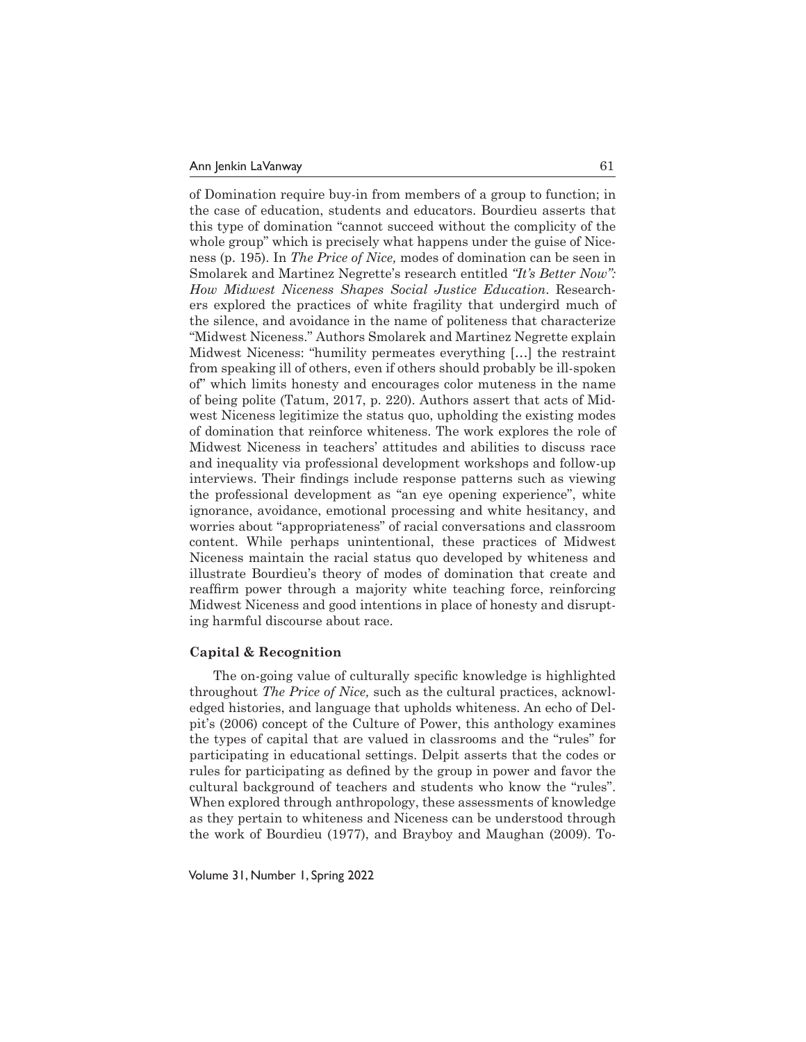of Domination require buy-in from members of a group to function; in the case of education, students and educators. Bourdieu asserts that this type of domination "cannot succeed without the complicity of the whole group" which is precisely what happens under the guise of Niceness (p. 195). In *The Price of Nice,* modes of domination can be seen in Smolarek and Martinez Negrette's research entitled *"It's Better Now": How Midwest Niceness Shapes Social Justice Education*. Researchers explored the practices of white fragility that undergird much of the silence, and avoidance in the name of politeness that characterize "Midwest Niceness." Authors Smolarek and Martinez Negrette explain Midwest Niceness: "humility permeates everything […] the restraint from speaking ill of others, even if others should probably be ill-spoken of" which limits honesty and encourages color muteness in the name of being polite (Tatum, 2017, p. 220). Authors assert that acts of Midwest Niceness legitimize the status quo, upholding the existing modes of domination that reinforce whiteness. The work explores the role of Midwest Niceness in teachers' attitudes and abilities to discuss race and inequality via professional development workshops and follow-up interviews. Their findings include response patterns such as viewing the professional development as "an eye opening experience", white ignorance, avoidance, emotional processing and white hesitancy, and worries about "appropriateness" of racial conversations and classroom content. While perhaps unintentional, these practices of Midwest Niceness maintain the racial status quo developed by whiteness and illustrate Bourdieu's theory of modes of domination that create and reaffirm power through a majority white teaching force, reinforcing Midwest Niceness and good intentions in place of honesty and disrupting harmful discourse about race.

#### **Capital & Recognition**

The on-going value of culturally specific knowledge is highlighted throughout *The Price of Nice,* such as the cultural practices, acknowledged histories, and language that upholds whiteness. An echo of Delpit's (2006) concept of the Culture of Power, this anthology examines the types of capital that are valued in classrooms and the "rules" for participating in educational settings. Delpit asserts that the codes or rules for participating as defined by the group in power and favor the cultural background of teachers and students who know the "rules". When explored through anthropology, these assessments of knowledge as they pertain to whiteness and Niceness can be understood through the work of Bourdieu (1977), and Brayboy and Maughan (2009). To-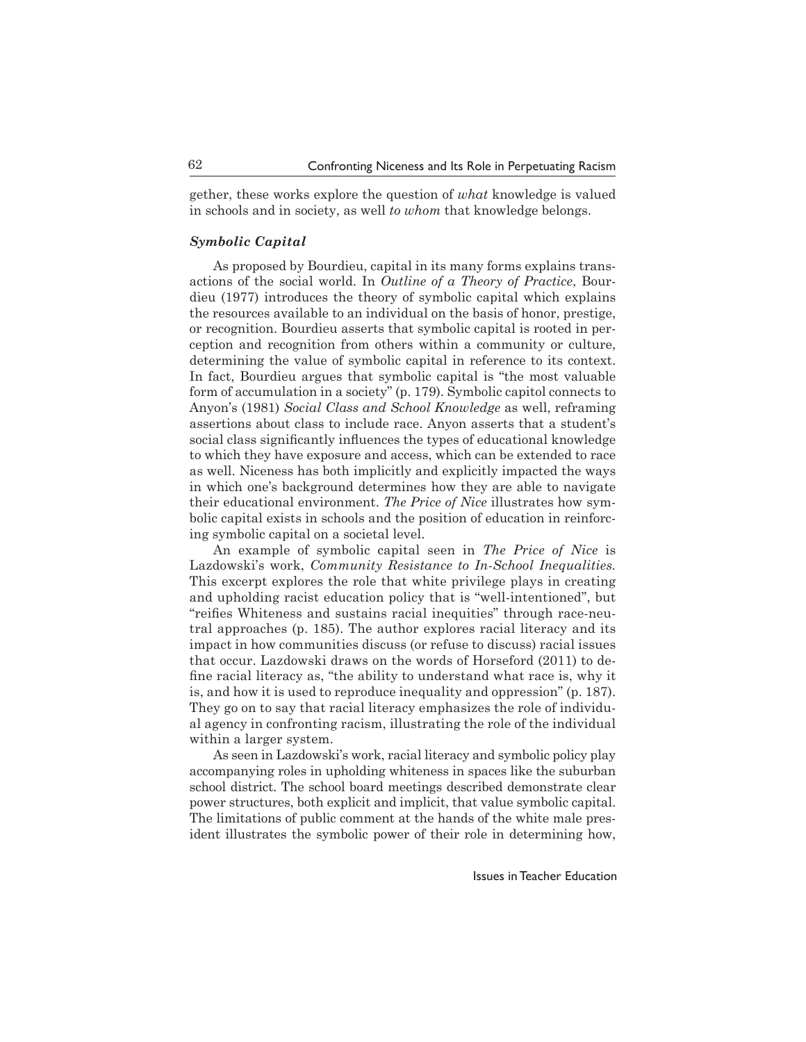gether, these works explore the question of *what* knowledge is valued in schools and in society, as well *to whom* that knowledge belongs.

#### *Symbolic Capital*

As proposed by Bourdieu, capital in its many forms explains transactions of the social world. In *Outline of a Theory of Practice*, Bourdieu (1977) introduces the theory of symbolic capital which explains the resources available to an individual on the basis of honor, prestige, or recognition. Bourdieu asserts that symbolic capital is rooted in perception and recognition from others within a community or culture, determining the value of symbolic capital in reference to its context. In fact, Bourdieu argues that symbolic capital is "the most valuable form of accumulation in a society" (p. 179). Symbolic capitol connects to Anyon's (1981) *Social Class and School Knowledge* as well, reframing assertions about class to include race. Anyon asserts that a student's social class significantly influences the types of educational knowledge to which they have exposure and access, which can be extended to race as well. Niceness has both implicitly and explicitly impacted the ways in which one's background determines how they are able to navigate their educational environment. *The Price of Nice* illustrates how symbolic capital exists in schools and the position of education in reinforcing symbolic capital on a societal level.

An example of symbolic capital seen in *The Price of Nice* is Lazdowski's work, *Community Resistance to In-School Inequalities.*  This excerpt explores the role that white privilege plays in creating and upholding racist education policy that is "well-intentioned", but "reifies Whiteness and sustains racial inequities" through race-neutral approaches (p. 185). The author explores racial literacy and its impact in how communities discuss (or refuse to discuss) racial issues that occur. Lazdowski draws on the words of Horseford (2011) to define racial literacy as, "the ability to understand what race is, why it is, and how it is used to reproduce inequality and oppression" (p. 187). They go on to say that racial literacy emphasizes the role of individual agency in confronting racism, illustrating the role of the individual within a larger system.

As seen in Lazdowski's work, racial literacy and symbolic policy play accompanying roles in upholding whiteness in spaces like the suburban school district. The school board meetings described demonstrate clear power structures, both explicit and implicit, that value symbolic capital. The limitations of public comment at the hands of the white male president illustrates the symbolic power of their role in determining how,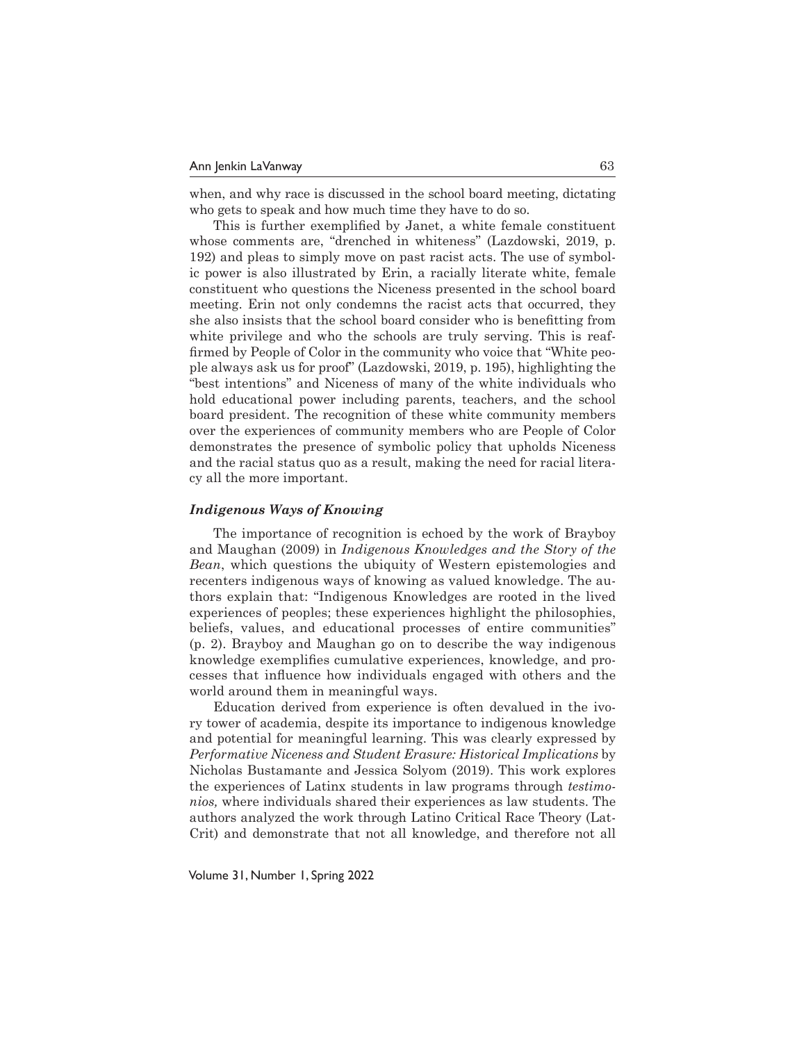when, and why race is discussed in the school board meeting, dictating who gets to speak and how much time they have to do so.

This is further exemplified by Janet, a white female constituent whose comments are, "drenched in whiteness" (Lazdowski, 2019, p. 192) and pleas to simply move on past racist acts. The use of symbolic power is also illustrated by Erin, a racially literate white, female constituent who questions the Niceness presented in the school board meeting. Erin not only condemns the racist acts that occurred, they she also insists that the school board consider who is benefitting from white privilege and who the schools are truly serving. This is reaffirmed by People of Color in the community who voice that "White people always ask us for proof" (Lazdowski, 2019, p. 195), highlighting the "best intentions" and Niceness of many of the white individuals who hold educational power including parents, teachers, and the school board president. The recognition of these white community members over the experiences of community members who are People of Color demonstrates the presence of symbolic policy that upholds Niceness and the racial status quo as a result, making the need for racial literacy all the more important.

#### *Indigenous Ways of Knowing*

The importance of recognition is echoed by the work of Brayboy and Maughan (2009) in *Indigenous Knowledges and the Story of the Bean*, which questions the ubiquity of Western epistemologies and recenters indigenous ways of knowing as valued knowledge. The authors explain that: "Indigenous Knowledges are rooted in the lived experiences of peoples; these experiences highlight the philosophies, beliefs, values, and educational processes of entire communities" (p. 2). Brayboy and Maughan go on to describe the way indigenous knowledge exemplifies cumulative experiences, knowledge, and processes that influence how individuals engaged with others and the world around them in meaningful ways.

Education derived from experience is often devalued in the ivory tower of academia, despite its importance to indigenous knowledge and potential for meaningful learning. This was clearly expressed by *Performative Niceness and Student Erasure: Historical Implications* by Nicholas Bustamante and Jessica Solyom (2019). This work explores the experiences of Latinx students in law programs through *testimonios,* where individuals shared their experiences as law students. The authors analyzed the work through Latino Critical Race Theory (Lat-Crit) and demonstrate that not all knowledge, and therefore not all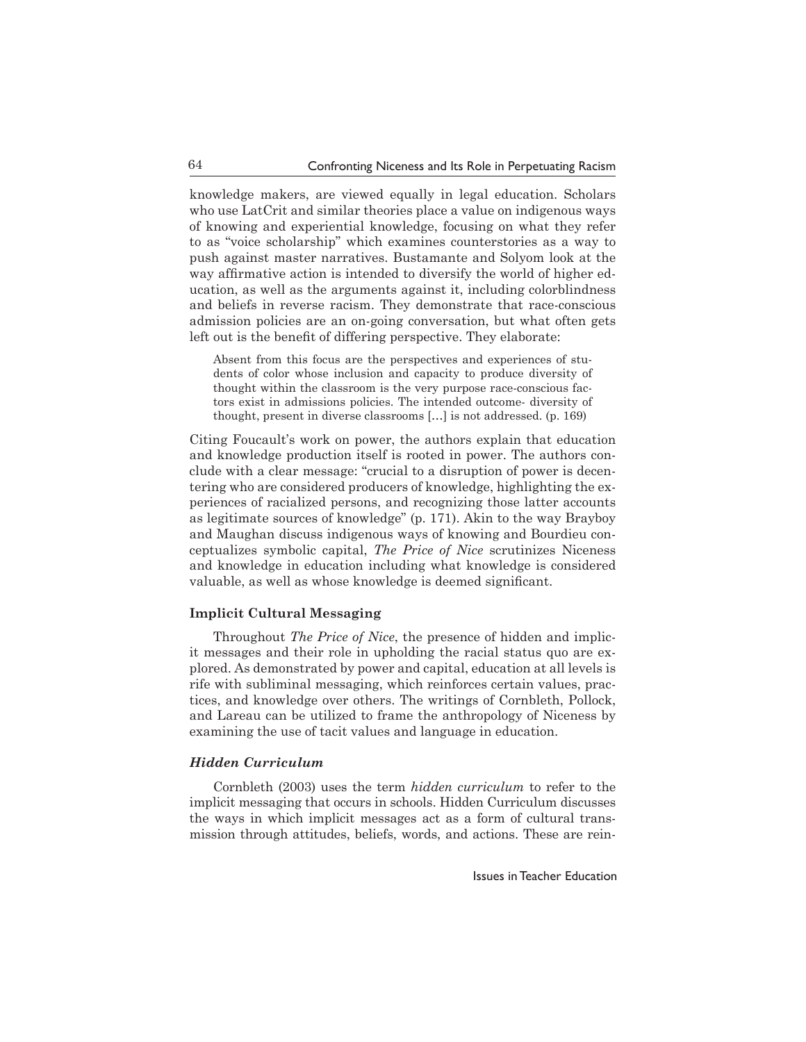knowledge makers, are viewed equally in legal education. Scholars who use LatCrit and similar theories place a value on indigenous ways of knowing and experiential knowledge, focusing on what they refer to as "voice scholarship" which examines counterstories as a way to push against master narratives. Bustamante and Solyom look at the way affirmative action is intended to diversify the world of higher education, as well as the arguments against it, including colorblindness and beliefs in reverse racism. They demonstrate that race-conscious admission policies are an on-going conversation, but what often gets left out is the benefit of differing perspective. They elaborate:

Absent from this focus are the perspectives and experiences of students of color whose inclusion and capacity to produce diversity of thought within the classroom is the very purpose race-conscious factors exist in admissions policies. The intended outcome- diversity of thought, present in diverse classrooms […] is not addressed. (p. 169)

Citing Foucault's work on power, the authors explain that education and knowledge production itself is rooted in power. The authors conclude with a clear message: "crucial to a disruption of power is decentering who are considered producers of knowledge, highlighting the experiences of racialized persons, and recognizing those latter accounts as legitimate sources of knowledge" (p. 171). Akin to the way Brayboy and Maughan discuss indigenous ways of knowing and Bourdieu conceptualizes symbolic capital, *The Price of Nice* scrutinizes Niceness and knowledge in education including what knowledge is considered valuable, as well as whose knowledge is deemed significant.

#### **Implicit Cultural Messaging**

Throughout *The Price of Nice*, the presence of hidden and implicit messages and their role in upholding the racial status quo are explored. As demonstrated by power and capital, education at all levels is rife with subliminal messaging, which reinforces certain values, practices, and knowledge over others. The writings of Cornbleth, Pollock, and Lareau can be utilized to frame the anthropology of Niceness by examining the use of tacit values and language in education.

#### *Hidden Curriculum*

Cornbleth (2003) uses the term *hidden curriculum* to refer to the implicit messaging that occurs in schools. Hidden Curriculum discusses the ways in which implicit messages act as a form of cultural transmission through attitudes, beliefs, words, and actions. These are rein-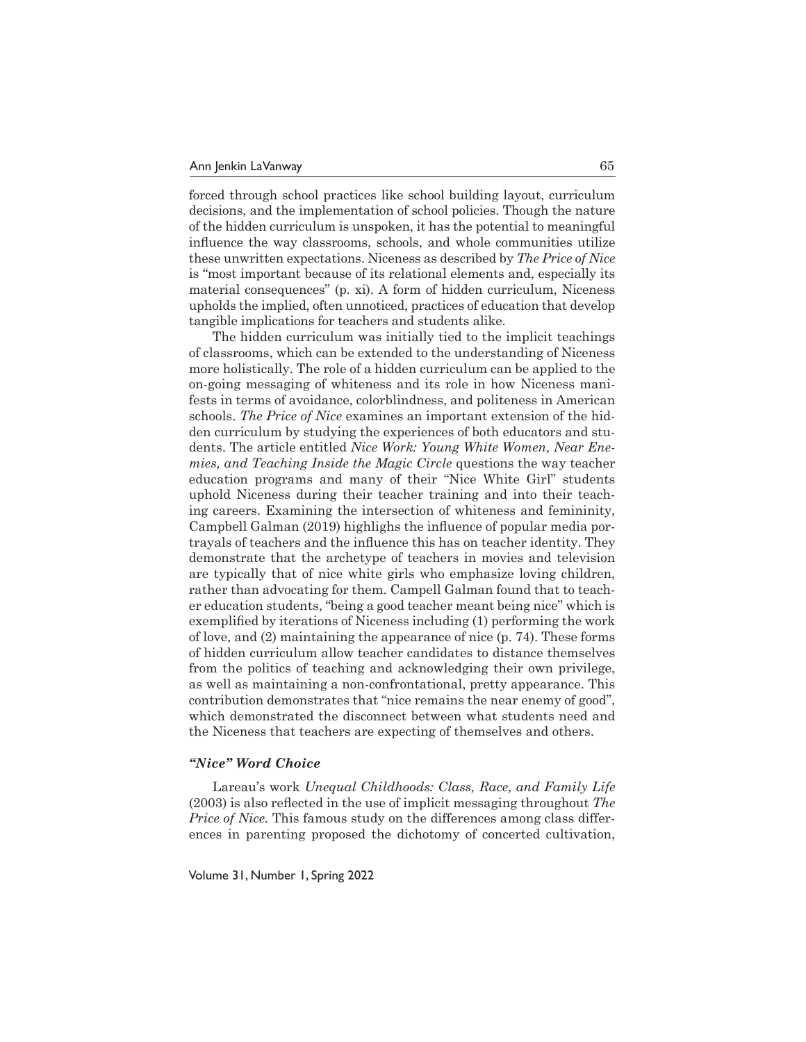forced through school practices like school building layout, curriculum decisions, and the implementation of school policies. Though the nature of the hidden curriculum is unspoken, it has the potential to meaningful influence the way classrooms, schools, and whole communities utilize these unwritten expectations. Niceness as described by *The Price of Nice* is "most important because of its relational elements and, especially its material consequences" (p. xi). A form of hidden curriculum, Niceness upholds the implied, often unnoticed, practices of education that develop tangible implications for teachers and students alike.

The hidden curriculum was initially tied to the implicit teachings of classrooms, which can be extended to the understanding of Niceness more holistically. The role of a hidden curriculum can be applied to the on-going messaging of whiteness and its role in how Niceness manifests in terms of avoidance, colorblindness, and politeness in American schools. *The Price of Nice* examines an important extension of the hidden curriculum by studying the experiences of both educators and students. The article entitled *Nice Work: Young White Women, Near Enemies, and Teaching Inside the Magic Circle* questions the way teacher education programs and many of their "Nice White Girl" students uphold Niceness during their teacher training and into their teaching careers. Examining the intersection of whiteness and femininity, Campbell Galman (2019) highlighs the influence of popular media portrayals of teachers and the influence this has on teacher identity. They demonstrate that the archetype of teachers in movies and television are typically that of nice white girls who emphasize loving children, rather than advocating for them. Campell Galman found that to teacher education students, "being a good teacher meant being nice" which is exemplified by iterations of Niceness including (1) performing the work of love, and (2) maintaining the appearance of nice (p. 74). These forms of hidden curriculum allow teacher candidates to distance themselves from the politics of teaching and acknowledging their own privilege, as well as maintaining a non-confrontational, pretty appearance. This contribution demonstrates that "nice remains the near enemy of good", which demonstrated the disconnect between what students need and the Niceness that teachers are expecting of themselves and others.

#### *"Nice" Word Choice*

Lareau's work *Unequal Childhoods: Class, Race, and Family Life* (2003) is also reflected in the use of implicit messaging throughout *The Price of Nice.* This famous study on the differences among class differences in parenting proposed the dichotomy of concerted cultivation,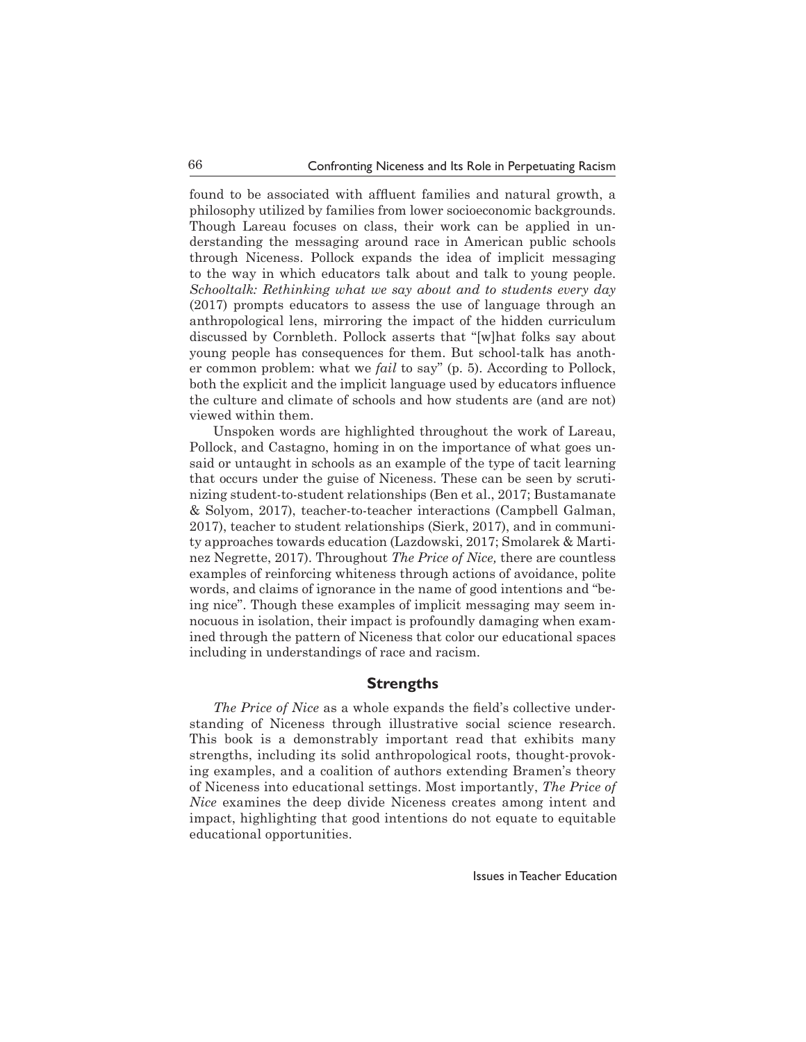found to be associated with affluent families and natural growth, a philosophy utilized by families from lower socioeconomic backgrounds. Though Lareau focuses on class, their work can be applied in understanding the messaging around race in American public schools through Niceness. Pollock expands the idea of implicit messaging to the way in which educators talk about and talk to young people. *Schooltalk: Rethinking what we say about and to students every day*  (2017) prompts educators to assess the use of language through an anthropological lens, mirroring the impact of the hidden curriculum discussed by Cornbleth. Pollock asserts that "[w]hat folks say about young people has consequences for them. But school-talk has another common problem: what we *fail* to say" (p. 5). According to Pollock, both the explicit and the implicit language used by educators influence the culture and climate of schools and how students are (and are not) viewed within them.

Unspoken words are highlighted throughout the work of Lareau, Pollock, and Castagno, homing in on the importance of what goes unsaid or untaught in schools as an example of the type of tacit learning that occurs under the guise of Niceness. These can be seen by scrutinizing student-to-student relationships (Ben et al., 2017; Bustamanate & Solyom, 2017), teacher-to-teacher interactions (Campbell Galman, 2017), teacher to student relationships (Sierk, 2017), and in community approaches towards education (Lazdowski, 2017; Smolarek & Martinez Negrette, 2017). Throughout *The Price of Nice,* there are countless examples of reinforcing whiteness through actions of avoidance, polite words, and claims of ignorance in the name of good intentions and "being nice". Though these examples of implicit messaging may seem innocuous in isolation, their impact is profoundly damaging when examined through the pattern of Niceness that color our educational spaces including in understandings of race and racism.

#### **Strengths**

*The Price of Nice* as a whole expands the field's collective understanding of Niceness through illustrative social science research. This book is a demonstrably important read that exhibits many strengths, including its solid anthropological roots, thought-provoking examples, and a coalition of authors extending Bramen's theory of Niceness into educational settings. Most importantly, *The Price of Nice* examines the deep divide Niceness creates among intent and impact, highlighting that good intentions do not equate to equitable educational opportunities.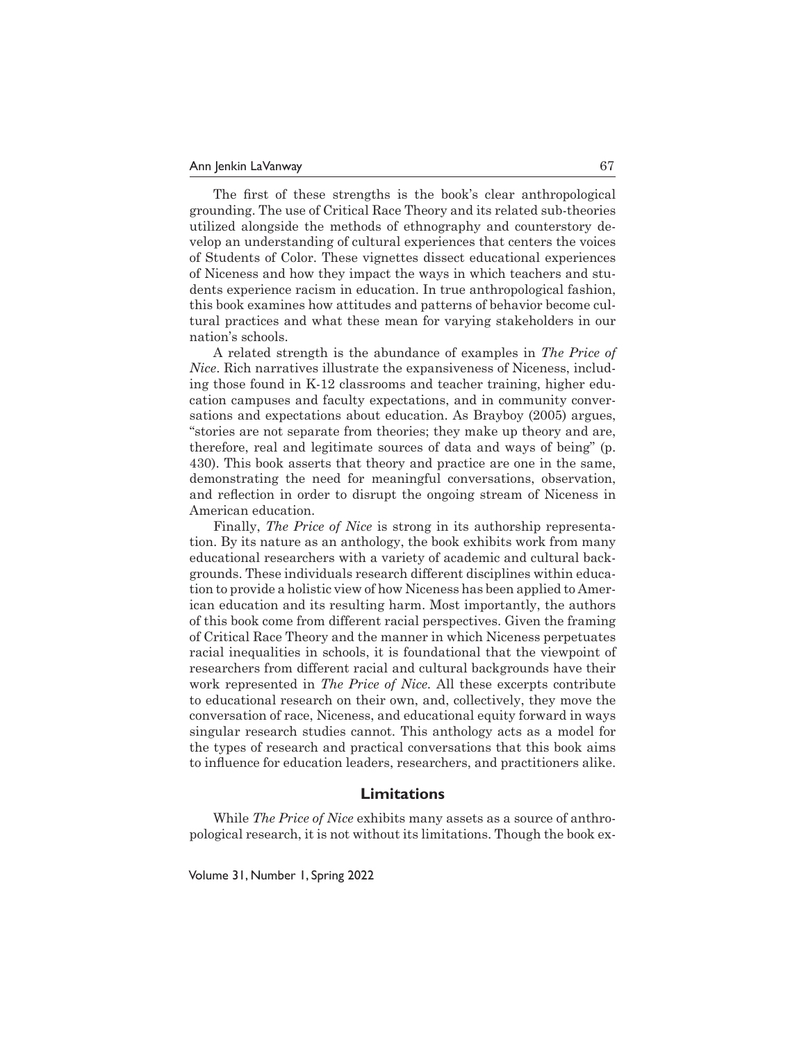The first of these strengths is the book's clear anthropological grounding. The use of Critical Race Theory and its related sub-theories utilized alongside the methods of ethnography and counterstory develop an understanding of cultural experiences that centers the voices of Students of Color. These vignettes dissect educational experiences of Niceness and how they impact the ways in which teachers and students experience racism in education. In true anthropological fashion, this book examines how attitudes and patterns of behavior become cultural practices and what these mean for varying stakeholders in our nation's schools.

A related strength is the abundance of examples in *The Price of Nice*. Rich narratives illustrate the expansiveness of Niceness, including those found in K-12 classrooms and teacher training, higher education campuses and faculty expectations, and in community conversations and expectations about education. As Brayboy (2005) argues, "stories are not separate from theories; they make up theory and are, therefore, real and legitimate sources of data and ways of being" (p. 430). This book asserts that theory and practice are one in the same, demonstrating the need for meaningful conversations, observation, and reflection in order to disrupt the ongoing stream of Niceness in American education.

Finally, *The Price of Nice* is strong in its authorship representation. By its nature as an anthology, the book exhibits work from many educational researchers with a variety of academic and cultural backgrounds. These individuals research different disciplines within education to provide a holistic view of how Niceness has been applied to American education and its resulting harm. Most importantly, the authors of this book come from different racial perspectives. Given the framing of Critical Race Theory and the manner in which Niceness perpetuates racial inequalities in schools, it is foundational that the viewpoint of researchers from different racial and cultural backgrounds have their work represented in *The Price of Nice.* All these excerpts contribute to educational research on their own, and, collectively, they move the conversation of race, Niceness, and educational equity forward in ways singular research studies cannot. This anthology acts as a model for the types of research and practical conversations that this book aims to influence for education leaders, researchers, and practitioners alike.

#### **Limitations**

While *The Price of Nice* exhibits many assets as a source of anthropological research, it is not without its limitations. Though the book ex-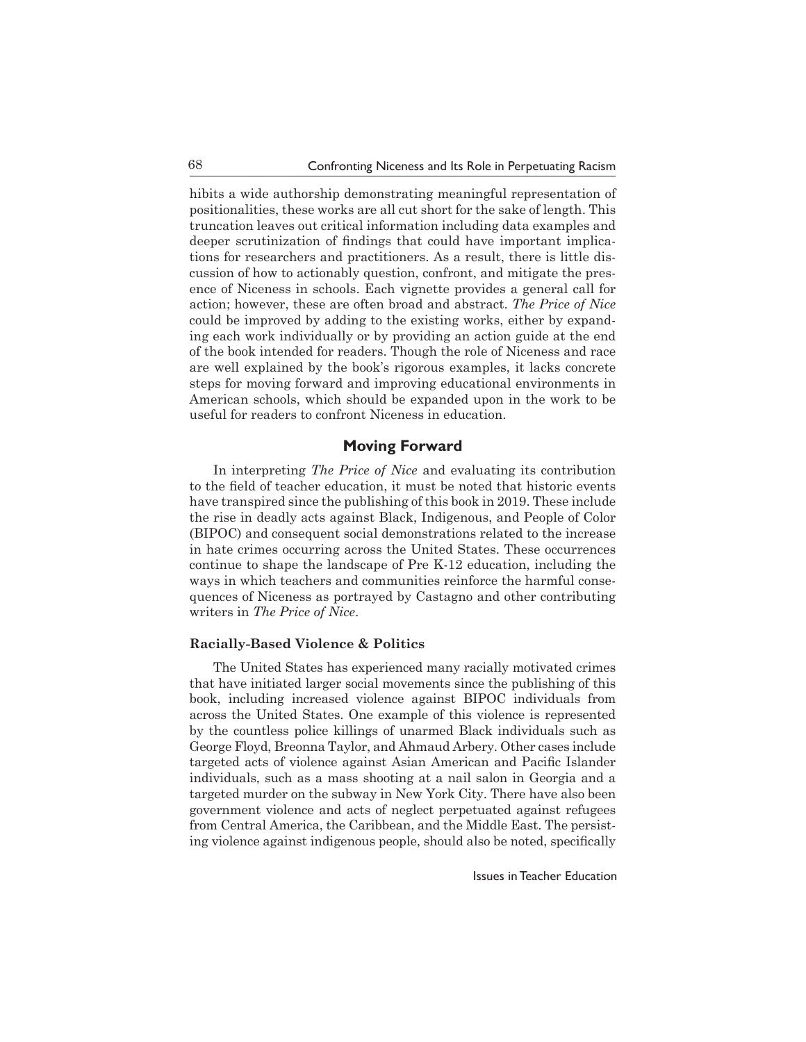hibits a wide authorship demonstrating meaningful representation of positionalities, these works are all cut short for the sake of length. This truncation leaves out critical information including data examples and deeper scrutinization of findings that could have important implications for researchers and practitioners. As a result, there is little discussion of how to actionably question, confront, and mitigate the presence of Niceness in schools. Each vignette provides a general call for action; however, these are often broad and abstract. *The Price of Nice*  could be improved by adding to the existing works, either by expanding each work individually or by providing an action guide at the end of the book intended for readers. Though the role of Niceness and race are well explained by the book's rigorous examples, it lacks concrete steps for moving forward and improving educational environments in American schools, which should be expanded upon in the work to be useful for readers to confront Niceness in education.

# **Moving Forward**

In interpreting *The Price of Nice* and evaluating its contribution to the field of teacher education, it must be noted that historic events have transpired since the publishing of this book in 2019. These include the rise in deadly acts against Black, Indigenous, and People of Color (BIPOC) and consequent social demonstrations related to the increase in hate crimes occurring across the United States. These occurrences continue to shape the landscape of Pre K-12 education, including the ways in which teachers and communities reinforce the harmful consequences of Niceness as portrayed by Castagno and other contributing writers in *The Price of Nice*.

#### **Racially-Based Violence & Politics**

The United States has experienced many racially motivated crimes that have initiated larger social movements since the publishing of this book, including increased violence against BIPOC individuals from across the United States. One example of this violence is represented by the countless police killings of unarmed Black individuals such as George Floyd, Breonna Taylor, and Ahmaud Arbery. Other cases include targeted acts of violence against Asian American and Pacific Islander individuals, such as a mass shooting at a nail salon in Georgia and a targeted murder on the subway in New York City. There have also been government violence and acts of neglect perpetuated against refugees from Central America, the Caribbean, and the Middle East. The persisting violence against indigenous people, should also be noted, specifically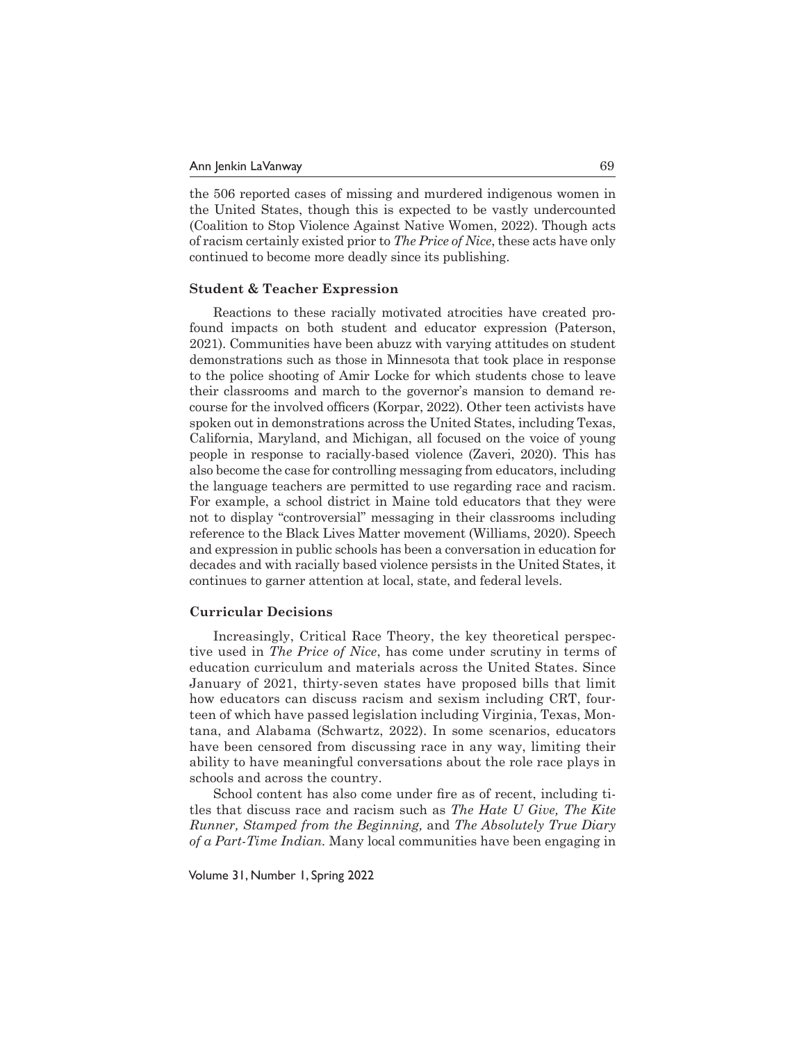the 506 reported cases of missing and murdered indigenous women in the United States, though this is expected to be vastly undercounted (Coalition to Stop Violence Against Native Women, 2022). Though acts of racism certainly existed prior to *The Price of Nice*, these acts have only continued to become more deadly since its publishing.

#### **Student & Teacher Expression**

Reactions to these racially motivated atrocities have created profound impacts on both student and educator expression (Paterson, 2021). Communities have been abuzz with varying attitudes on student demonstrations such as those in Minnesota that took place in response to the police shooting of Amir Locke for which students chose to leave their classrooms and march to the governor's mansion to demand recourse for the involved officers (Korpar, 2022). Other teen activists have spoken out in demonstrations across the United States, including Texas, California, Maryland, and Michigan, all focused on the voice of young people in response to racially-based violence (Zaveri, 2020). This has also become the case for controlling messaging from educators, including the language teachers are permitted to use regarding race and racism. For example, a school district in Maine told educators that they were not to display "controversial" messaging in their classrooms including reference to the Black Lives Matter movement (Williams, 2020). Speech and expression in public schools has been a conversation in education for decades and with racially based violence persists in the United States, it continues to garner attention at local, state, and federal levels.

#### **Curricular Decisions**

Increasingly, Critical Race Theory, the key theoretical perspective used in *The Price of Nice*, has come under scrutiny in terms of education curriculum and materials across the United States. Since January of 2021, thirty-seven states have proposed bills that limit how educators can discuss racism and sexism including CRT, fourteen of which have passed legislation including Virginia, Texas, Montana, and Alabama (Schwartz, 2022). In some scenarios, educators have been censored from discussing race in any way, limiting their ability to have meaningful conversations about the role race plays in schools and across the country.

School content has also come under fire as of recent, including titles that discuss race and racism such as *The Hate U Give, The Kite Runner, Stamped from the Beginning,* and *The Absolutely True Diary of a Part-Time Indian.* Many local communities have been engaging in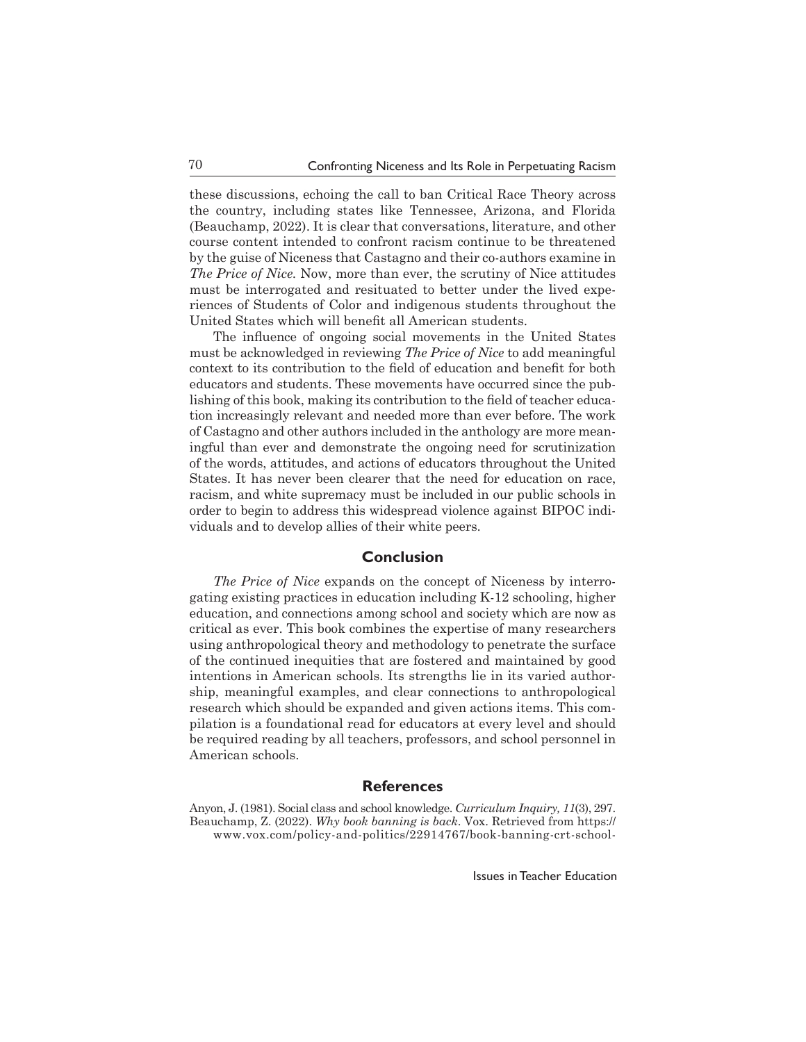these discussions, echoing the call to ban Critical Race Theory across the country, including states like Tennessee, Arizona, and Florida (Beauchamp, 2022). It is clear that conversations, literature, and other course content intended to confront racism continue to be threatened by the guise of Niceness that Castagno and their co-authors examine in *The Price of Nice.* Now, more than ever, the scrutiny of Nice attitudes must be interrogated and resituated to better under the lived experiences of Students of Color and indigenous students throughout the United States which will benefit all American students.

The influence of ongoing social movements in the United States must be acknowledged in reviewing *The Price of Nice* to add meaningful context to its contribution to the field of education and benefit for both educators and students. These movements have occurred since the publishing of this book, making its contribution to the field of teacher education increasingly relevant and needed more than ever before. The work of Castagno and other authors included in the anthology are more meaningful than ever and demonstrate the ongoing need for scrutinization of the words, attitudes, and actions of educators throughout the United States. It has never been clearer that the need for education on race, racism, and white supremacy must be included in our public schools in order to begin to address this widespread violence against BIPOC individuals and to develop allies of their white peers.

## **Conclusion**

*The Price of Nice* expands on the concept of Niceness by interrogating existing practices in education including K-12 schooling, higher education, and connections among school and society which are now as critical as ever. This book combines the expertise of many researchers using anthropological theory and methodology to penetrate the surface of the continued inequities that are fostered and maintained by good intentions in American schools. Its strengths lie in its varied authorship, meaningful examples, and clear connections to anthropological research which should be expanded and given actions items. This compilation is a foundational read for educators at every level and should be required reading by all teachers, professors, and school personnel in American schools.

# **References**

Anyon, J. (1981). Social class and school knowledge. *Curriculum Inquiry, 11*(3), 297. Beauchamp, Z. (2022). *Why book banning is back*. Vox. Retrieved from https:// www.vox.com/policy-and-politics/22914767/book-banning-crt-school-